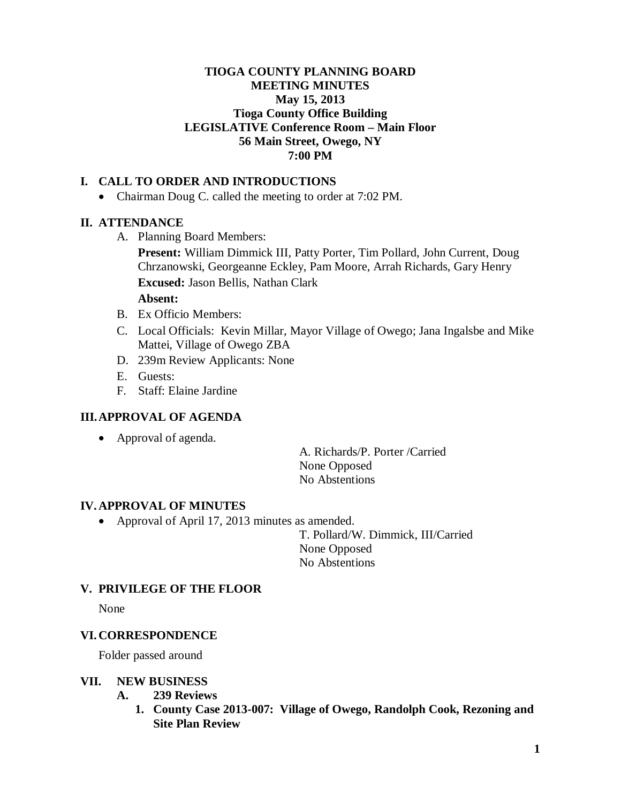## **TIOGA COUNTY PLANNING BOARD MEETING MINUTES May 15, 2013 Tioga County Office Building LEGISLATIVE Conference Room – Main Floor 56 Main Street, Owego, NY 7:00 PM**

## **I. CALL TO ORDER AND INTRODUCTIONS**

• Chairman Doug C. called the meeting to order at 7:02 PM.

## **II. ATTENDANCE**

A. Planning Board Members:

**Present:** William Dimmick III, Patty Porter, Tim Pollard, John Current, Doug Chrzanowski, Georgeanne Eckley, Pam Moore, Arrah Richards, Gary Henry **Excused:** Jason Bellis, Nathan Clark

**Absent:**

- B. Ex Officio Members:
- C. Local Officials: Kevin Millar, Mayor Village of Owego; Jana Ingalsbe and Mike Mattei, Village of Owego ZBA
- D. 239m Review Applicants: None
- E. Guests:
- F. Staff: Elaine Jardine

## **III.APPROVAL OF AGENDA**

• Approval of agenda.

A. Richards/P. Porter /Carried None Opposed No Abstentions

#### **IV. APPROVAL OF MINUTES**

• Approval of April 17, 2013 minutes as amended.

T. Pollard/W. Dimmick, III/Carried None Opposed No Abstentions

#### **V. PRIVILEGE OF THE FLOOR**

None

## **VI. CORRESPONDENCE**

Folder passed around

#### **VII. NEW BUSINESS**

- **A. 239 Reviews**
	- **1. County Case 2013-007: Village of Owego, Randolph Cook, Rezoning and Site Plan Review**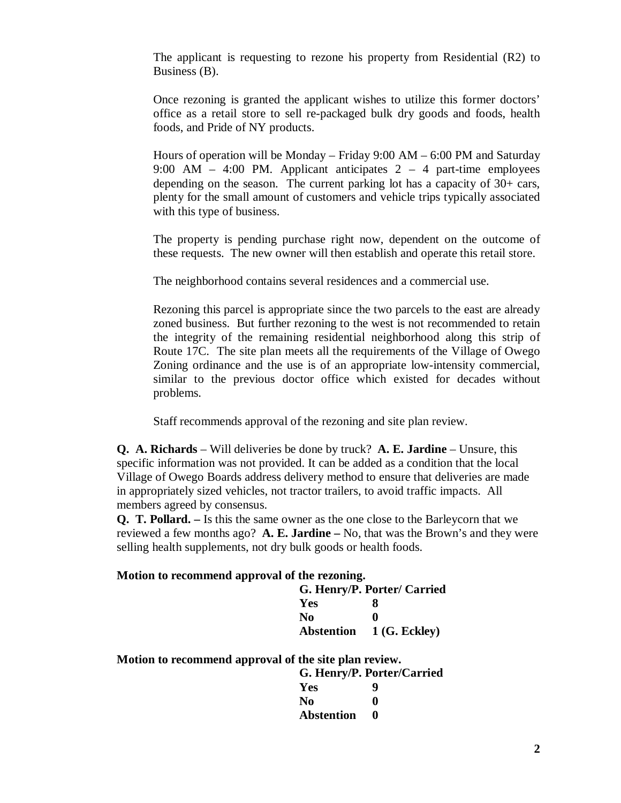The applicant is requesting to rezone his property from Residential (R2) to Business (B).

Once rezoning is granted the applicant wishes to utilize this former doctors' office as a retail store to sell re-packaged bulk dry goods and foods, health foods, and Pride of NY products.

Hours of operation will be Monday – Friday 9:00 AM – 6:00 PM and Saturday 9:00 AM  $-$  4:00 PM. Applicant anticipates 2  $-$  4 part-time employees depending on the season. The current parking lot has a capacity of 30+ cars, plenty for the small amount of customers and vehicle trips typically associated with this type of business.

The property is pending purchase right now, dependent on the outcome of these requests. The new owner will then establish and operate this retail store.

The neighborhood contains several residences and a commercial use.

Rezoning this parcel is appropriate since the two parcels to the east are already zoned business. But further rezoning to the west is not recommended to retain the integrity of the remaining residential neighborhood along this strip of Route 17C. The site plan meets all the requirements of the Village of Owego Zoning ordinance and the use is of an appropriate low-intensity commercial, similar to the previous doctor office which existed for decades without problems.

Staff recommends approval of the rezoning and site plan review.

**Q. A. Richards** – Will deliveries be done by truck? **A. E. Jardine** – Unsure, this specific information was not provided. It can be added as a condition that the local Village of Owego Boards address delivery method to ensure that deliveries are made in appropriately sized vehicles, not tractor trailers, to avoid traffic impacts. All members agreed by consensus.

**Q. T. Pollard. –** Is this the same owner as the one close to the Barleycorn that we reviewed a few months ago? **A. E. Jardine –** No, that was the Brown's and they were selling health supplements, not dry bulk goods or health foods.

#### **Motion to recommend approval of the rezoning.**

| G. Henry/P. Porter/ Carried |                                 |
|-----------------------------|---------------------------------|
| Yes                         | x                               |
| No.                         | 0                               |
|                             | <b>Abstention</b> 1 (G. Eckley) |

**Motion to recommend approval of the site plan review.**

| G. Henry/P. Porter/Carried |   |
|----------------------------|---|
| Yes                        | Q |
| N <sub>0</sub>             | 0 |
| <b>Abstention</b>          | o |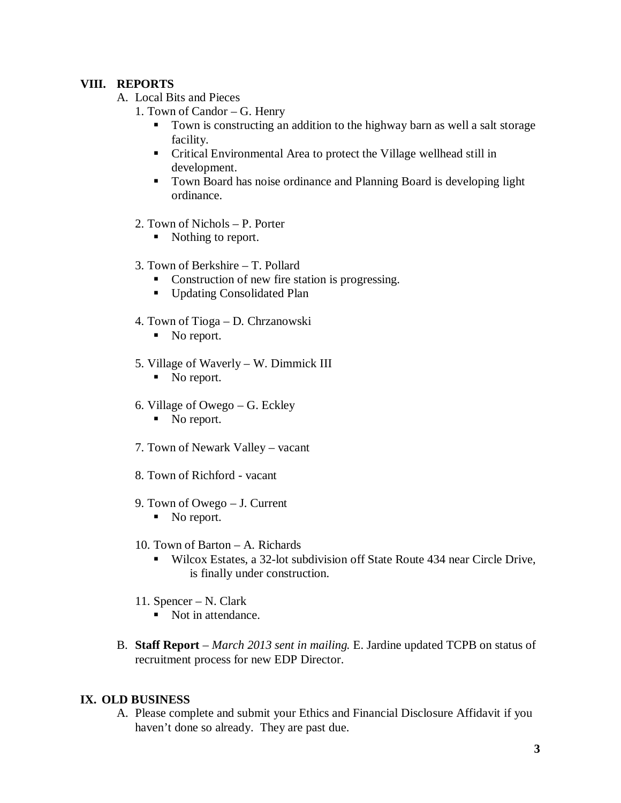# **VIII. REPORTS**

- A. Local Bits and Pieces
	- 1. Town of Candor G. Henry
		- Town is constructing an addition to the highway barn as well a salt storage facility.
		- Critical Environmental Area to protect the Village wellhead still in development.
		- Town Board has noise ordinance and Planning Board is developing light ordinance.
	- 2. Town of Nichols P. Porter
		- Nothing to report.
	- 3. Town of Berkshire T. Pollard
		- Construction of new fire station is progressing.
		- **Updating Consolidated Plan**
	- 4. Town of Tioga D. Chrzanowski
		- No report.
	- 5. Village of Waverly W. Dimmick III
		- No report.
	- 6. Village of Owego G. Eckley
		- No report.
	- 7. Town of Newark Valley vacant
	- 8. Town of Richford vacant
	- 9. Town of Owego J. Current
		- No report.
	- 10. Town of Barton A. Richards
		- Wilcox Estates, a 32-lot subdivision off State Route 434 near Circle Drive, is finally under construction.
	- 11. Spencer N. Clark
		- Not in attendance.
- B. **Staff Report** *March 2013 sent in mailing.* E. Jardine updated TCPB on status of recruitment process for new EDP Director.

## **IX. OLD BUSINESS**

A. Please complete and submit your Ethics and Financial Disclosure Affidavit if you haven't done so already. They are past due.